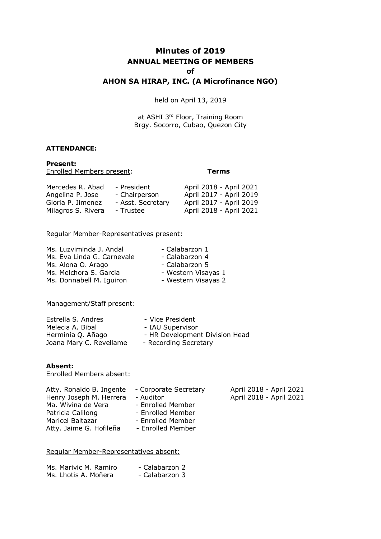# **Minutes of 2019 ANNUAL MEETING OF MEMBERS of AHON SA HIRAP, INC. (A Microfinance NGO)**

held on April 13, 2019

at ASHI 3rd Floor, Training Room Brgy. Socorro, Cubao, Quezon City

#### **ATTENDANCE:**

**Present:** Enrolled Members present: **Terms**

| Mercedes R. Abad   | - President       | April 2018 - April 2021 |
|--------------------|-------------------|-------------------------|
| Angelina P. Jose   | - Chairperson     | April 2017 - April 2019 |
| Gloria P. Jimenez  | - Asst. Secretary | April 2017 - April 2019 |
| Milagros S. Rivera | - Trustee         | April 2018 - April 2021 |

#### Regular Member-Representatives present:

| Ms. Luzviminda J. Andal    | - Calabarzon 1      |
|----------------------------|---------------------|
| Ms. Eva Linda G. Carnevale | - Calabarzon 4      |
| Ms. Alona O. Arago         | - Calabarzon 5      |
| Ms. Melchora S. Garcia     | - Western Visayas 1 |
| Ms. Donnabell M. Iguiron   | - Western Visayas 2 |

Management/Staff present:

| Estrella S. Andres      | - Vice President               |
|-------------------------|--------------------------------|
| Melecia A. Bibal        | - IAU Supervisor               |
| Herminia Q. Añago       | - HR Development Division Head |
| Joana Mary C. Revellame | - Recording Secretary          |
|                         |                                |

#### **Absent:**

Enrolled Members absent:

| Atty. Ronaldo B. Ingente | - Corporate Secretary | April 2018 - April 2021 |
|--------------------------|-----------------------|-------------------------|
| Henry Joseph M. Herrera  | - Auditor             | April 2018 - April 2021 |
| Ma. Wivina de Vera       | - Enrolled Member     |                         |
| Patricia Calilong        | - Enrolled Member     |                         |
| Maricel Baltazar         | - Enrolled Member     |                         |
| Atty. Jaime G. Hofileña  | - Enrolled Member     |                         |

#### Regular Member-Representatives absent:

| Ms. Marivic M. Ramiro | - Calabarzon 2 |
|-----------------------|----------------|
| Ms. Lhotis A. Moñera  | - Calabarzon 3 |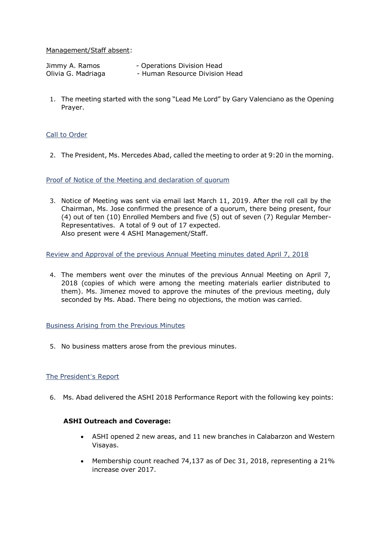#### Management/Staff absent:

| Jimmy A. Ramos     | - Operations Division Head     |
|--------------------|--------------------------------|
| Olivia G. Madriaga | - Human Resource Division Head |

1. The meeting started with the song "Lead Me Lord" by Gary Valenciano as the Opening Prayer.

#### Call to Order

2. The President, Ms. Mercedes Abad, called the meeting to order at 9:20 in the morning.

#### Proof of Notice of the Meeting and declaration of quorum

3. Notice of Meeting was sent via email last March 11, 2019. After the roll call by the Chairman, Ms. Jose confirmed the presence of a quorum, there being present, four (4) out of ten (10) Enrolled Members and five (5) out of seven (7) Regular Member-Representatives. A total of 9 out of 17 expected. Also present were 4 ASHI Management/Staff.

Review and Approval of the previous Annual Meeting minutes dated April 7, 2018

4. The members went over the minutes of the previous Annual Meeting on April 7, 2018 (copies of which were among the meeting materials earlier distributed to them). Ms. Jimenez moved to approve the minutes of the previous meeting, duly seconded by Ms. Abad. There being no objections, the motion was carried.

#### Business Arising from the Previous Minutes

5. No business matters arose from the previous minutes.

## The President's Report

6. Ms. Abad delivered the ASHI 2018 Performance Report with the following key points:

## **ASHI Outreach and Coverage:**

- ASHI opened 2 new areas, and 11 new branches in Calabarzon and Western Visayas.
- Membership count reached 74,137 as of Dec 31, 2018, representing a 21% increase over 2017.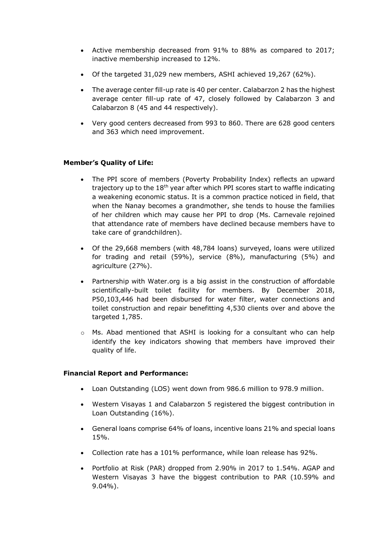- Active membership decreased from 91% to 88% as compared to 2017; inactive membership increased to 12%.
- Of the targeted 31,029 new members, ASHI achieved 19,267 (62%).
- The average center fill-up rate is 40 per center. Calabarzon 2 has the highest average center fill-up rate of 47, closely followed by Calabarzon 3 and Calabarzon 8 (45 and 44 respectively).
- Very good centers decreased from 993 to 860. There are 628 good centers and 363 which need improvement.

## **Member's Quality of Life:**

- The PPI score of members (Poverty Probability Index) reflects an upward trajectory up to the 18<sup>th</sup> year after which PPI scores start to waffle indicating a weakening economic status. It is a common practice noticed in field, that when the Nanay becomes a grandmother, she tends to house the families of her children which may cause her PPI to drop (Ms. Carnevale rejoined that attendance rate of members have declined because members have to take care of grandchildren).
- Of the 29,668 members (with 48,784 loans) surveyed, loans were utilized for trading and retail (59%), service (8%), manufacturing (5%) and agriculture (27%).
- Partnership with Water.org is a big assist in the construction of affordable scientifically-built toilet facility for members. By December 2018, P50,103,446 had been disbursed for water filter, water connections and toilet construction and repair benefitting 4,530 clients over and above the targeted 1,785.
- o Ms. Abad mentioned that ASHI is looking for a consultant who can help identify the key indicators showing that members have improved their quality of life.

## **Financial Report and Performance:**

- Loan Outstanding (LOS) went down from 986.6 million to 978.9 million.
- Western Visayas 1 and Calabarzon 5 registered the biggest contribution in Loan Outstanding (16%).
- General loans comprise 64% of loans, incentive loans 21% and special loans 15%.
- Collection rate has a 101% performance, while loan release has 92%.
- Portfolio at Risk (PAR) dropped from 2.90% in 2017 to 1.54%. AGAP and Western Visayas 3 have the biggest contribution to PAR (10.59% and 9.04%).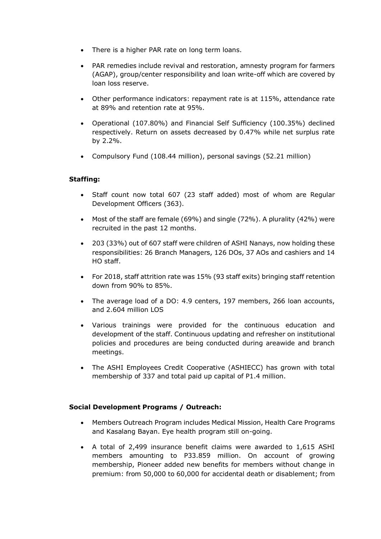- There is a higher PAR rate on long term loans.
- PAR remedies include revival and restoration, amnesty program for farmers (AGAP), group/center responsibility and loan write-off which are covered by loan loss reserve.
- Other performance indicators: repayment rate is at 115%, attendance rate at 89% and retention rate at 95%.
- Operational (107.80%) and Financial Self Sufficiency (100.35%) declined respectively. Return on assets decreased by 0.47% while net surplus rate by 2.2%.
- Compulsory Fund (108.44 million), personal savings (52.21 million)

## **Staffing:**

- Staff count now total 607 (23 staff added) most of whom are Regular Development Officers (363).
- Most of the staff are female (69%) and single (72%). A plurality (42%) were recruited in the past 12 months.
- 203 (33%) out of 607 staff were children of ASHI Nanays, now holding these responsibilities: 26 Branch Managers, 126 DOs, 37 AOs and cashiers and 14 HO staff.
- For 2018, staff attrition rate was 15% (93 staff exits) bringing staff retention down from 90% to 85%.
- The average load of a DO: 4.9 centers, 197 members, 266 loan accounts, and 2.604 million LOS
- Various trainings were provided for the continuous education and development of the staff. Continuous updating and refresher on institutional policies and procedures are being conducted during areawide and branch meetings.
- The ASHI Employees Credit Cooperative (ASHIECC) has grown with total membership of 337 and total paid up capital of P1.4 million.

## **Social Development Programs / Outreach:**

- Members Outreach Program includes Medical Mission, Health Care Programs and Kasalang Bayan. Eye health program still on-going.
- A total of 2,499 insurance benefit claims were awarded to 1,615 ASHI members amounting to P33.859 million. On account of growing membership, Pioneer added new benefits for members without change in premium: from 50,000 to 60,000 for accidental death or disablement; from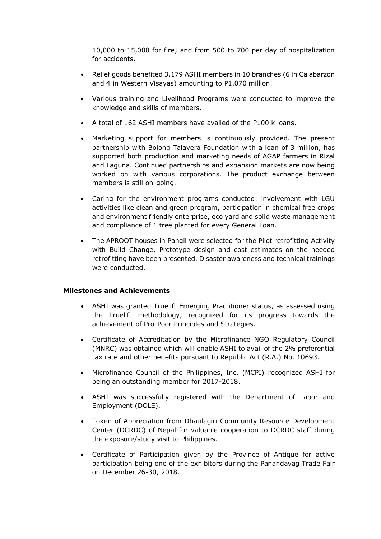10,000 to 15,000 for fire; and from 500 to 700 per day of hospitalization for accidents.

- Relief goods benefited 3,179 ASHI members in 10 branches (6 in Calabarzon and 4 in Western Visayas) amounting to P1.070 million.
- Various training and Livelihood Programs were conducted to improve the knowledge and skills of members.
- A total of 162 ASHI members have availed of the P100 k loans.
- Marketing support for members is continuously provided. The present partnership with Bolong Talavera Foundation with a loan of 3 million, has supported both production and marketing needs of AGAP farmers in Rizal and Laguna. Continued partnerships and expansion markets are now being worked on with various corporations. The product exchange between members is still on-going.
- Caring for the environment programs conducted: involvement with LGU activities like clean and green program, participation in chemical free crops and environment friendly enterprise, eco yard and solid waste management and compliance of 1 tree planted for every General Loan.
- The APROOT houses in Pangil were selected for the Pilot retrofitting Activity with Build Change. Prototype design and cost estimates on the needed retrofitting have been presented. Disaster awareness and technical trainings were conducted.

#### **Milestones and Achievements**

- ASHI was granted Truelift Emerging Practitioner status, as assessed using the Truelift methodology, recognized for its progress towards the achievement of Pro-Poor Principles and Strategies.
- Certificate of Accreditation by the Microfinance NGO Regulatory Council (MNRC) was obtained which will enable ASHI to avail of the 2% preferential tax rate and other benefits pursuant to Republic Act (R.A.) No. 10693.
- Microfinance Council of the Philippines, Inc. (MCPI) recognized ASHI for being an outstanding member for 2017-2018.
- ASHI was successfully registered with the Department of Labor and Employment (DOLE).
- Token of Appreciation from Dhaulagiri Community Resource Development Center (DCRDC) of Nepal for valuable cooperation to DCRDC staff during the exposure/study visit to Philippines.
- Certificate of Participation given by the Province of Antique for active participation being one of the exhibitors during the Panandayag Trade Fair on December 26-30, 2018.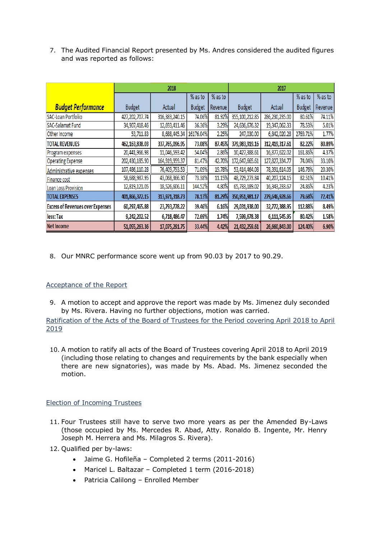7. The Audited Financial Report presented by Ms. Andres considered the audited figures and was reported as follows:

|                                         | 2018           |                   |               | 2017    |                |                 |               |         |
|-----------------------------------------|----------------|-------------------|---------------|---------|----------------|-----------------|---------------|---------|
|                                         |                |                   | % as to       | % as to |                |                 | % as to       | % as to |
| <b>Budget Performance</b>               | <b>Budget</b>  | Actual            | <b>Budget</b> | Revenue | <b>Budget</b>  | Actual          | <b>Budget</b> | Revenue |
| SAC-Loan Portfolio                      | 427,202,707.74 | 316, 383, 240. 15 | 74.06%        | 81.92%  | 355,100,212.85 | 286,230,235.00  | 80.61%        | 74.11%  |
| SAC-Salamat Fund                        | 34,907,418.46  | 12,693,411.46     | 36.36%        | 3.29%   | 24,636,676.32  | 19,347,062.33   | 78.53%        | 5.01%   |
| Other Income                            | 53,711.83      | 8,688,445.34      | 16176.04%     | 2.25%   | 247,030.00     | 6,842,020.28    | 2769.71%      | 1.77%   |
| <b>TOTAL REVENUES</b>                   | 462,163,838.03 | 337,765,096.95    | 73.08%        | 87.45%  | 379,983,919.16 | 312,419,317.61  | 82.22%        | 80.89%  |
| Program expenses                        | 20,441,966.98  | 11,046,593.42     | 54.04%        | 2.86%   | 10,427,388.61  | 16,877,622.02   | 161.86%       | 4.37%   |
| <b>Operating Expense</b>                | 202,430,185.90 | 164,919,959.37    | 81.47%        | 42.70%  | 172,647,665.61 | 127,827,334.77  | 74.04%        | 33.10%  |
| Administrative expenses                 | 107,486,110.28 | 76,409,793.53     | 71.09%        | 19.78%  | 53,414,464.08  | 78,391,614.05   | 146.76%       | 20.30%  |
| Finance cost                            | 58,688,987.95  | 43,068,366.30     | 73.38%        | 11.15%  | 48,729,273.84  | 40,207,124.15   | 82.51%        | 10.41%  |
| Loan Loss Provision                     | 12,819,121.05  | 18,526,606.11     | 144.52%       | 4.80%   | 65,733,189.02  | 16, 343, 233.67 | 24.86%        | 4.23%   |
| <b>TOTAL EXPENSES</b>                   | 401,866,372.15 | 313,971,318.73    | 78.13%        | 81.29%  | 350,951,981.17 | 279,646,928.66  | 79.68%        | 72.41%  |
| <b>Excess of Revenues over Expenses</b> | 60,297,465.88  | 23,793,778.22     | 39.46%        | 6.16%   | 29,031,938.00  | 32,772,388.95   | 112.88%       | 8.49%   |
| less: Tax                               | 9,242,202.52   | 6,718,486.47      | 72.69%        | 1.74%   | 7,599,678.38   | 6,111,545.95    | 80.42%        | 1.58%   |
| <b>Net Income</b>                       | 51,055,263.36  | 17,075,291.75     | 33.44%        | 4.42%   | 21,432,259.61  | 26,660,843.00   | 124.40%       | 6.90%   |

8. Our MNRC performance score went up from 90.03 by 2017 to 90.29.

## Acceptance of the Report

- 9. A motion to accept and approve the report was made by Ms. Jimenez duly seconded by Ms. Rivera. Having no further objections, motion was carried. Ratification of the Acts of the Board of Trustees for the Period covering April 2018 to April 2019
- 10. A motion to ratify all acts of the Board of Trustees covering April 2018 to April 2019 (including those relating to changes and requirements by the bank especially when there are new signatories), was made by Ms. Abad. Ms. Jimenez seconded the motion.

## Election of Incoming Trustees

- 11. Four Trustees still have to serve two more years as per the Amended By-Laws (those occupied by Ms. Mercedes R. Abad, Atty. Ronaldo B. Ingente, Mr. Henry Joseph M. Herrera and Ms. Milagros S. Rivera).
- 12. Qualified per by-laws:
	- Jaime G. Hofileña Completed 2 terms (2011-2016)
	- Maricel L. Baltazar Completed 1 term (2016-2018)
	- Patricia Calilong Enrolled Member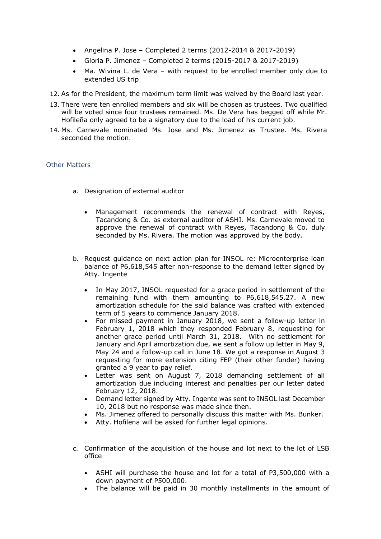- Angelina P. Jose Completed 2 terms (2012-2014 & 2017-2019)
- Gloria P. Jimenez Completed 2 terms (2015-2017 & 2017-2019)
- Ma. Wivina L. de Vera with request to be enrolled member only due to extended US trip
- 12. As for the President, the maximum term limit was waived by the Board last year.
- 13. There were ten enrolled members and six will be chosen as trustees. Two qualified will be voted since four trustees remained. Ms. De Vera has begged off while Mr. Hofileña only agreed to be a signatory due to the load of his current job.
- 14. Ms. Carnevale nominated Ms. Jose and Ms. Jimenez as Trustee. Ms. Rivera seconded the motion.

#### Other Matters

- a. Designation of external auditor
	- Management recommends the renewal of contract with Reyes, Tacandong & Co. as external auditor of ASHI. Ms. Carnevale moved to approve the renewal of contract with Reyes, Tacandong & Co. duly seconded by Ms. Rivera. The motion was approved by the body.
- b. Request guidance on next action plan for INSOL re: Microenterprise loan balance of P6,618,545 after non-response to the demand letter signed by Atty. Ingente
	- In May 2017, INSOL requested for a grace period in settlement of the remaining fund with them amounting to P6,618,545.27. A new amortization schedule for the said balance was crafted with extended term of 5 years to commence January 2018.
	- For missed payment in January 2018, we sent a follow-up letter in February 1, 2018 which they responded February 8, requesting for another grace period until March 31, 2018. With no settlement for January and April amortization due, we sent a follow up letter in May 9, May 24 and a follow-up call in June 18. We got a response in August 3 requesting for more extension citing FEP (their other funder) having granted a 9 year to pay relief.
	- Letter was sent on August 7, 2018 demanding settlement of all amortization due including interest and penalties per our letter dated February 12, 2018.
	- Demand letter signed by Atty. Ingente was sent to INSOL last December 10, 2018 but no response was made since then.
	- Ms. Jimenez offered to personally discuss this matter with Ms. Bunker.
	- Atty. Hofilena will be asked for further legal opinions.
- c. Confirmation of the acquisition of the house and lot next to the lot of LSB office
	- ASHI will purchase the house and lot for a total of P3,500,000 with a down payment of P500,000.
	- The balance will be paid in 30 monthly installments in the amount of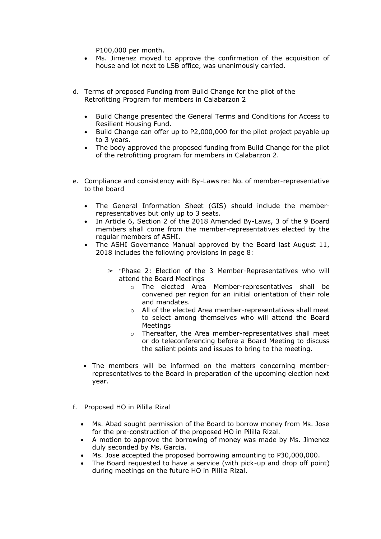P100,000 per month.

- Ms. Jimenez moved to approve the confirmation of the acquisition of house and lot next to LSB office, was unanimously carried.
- d. Terms of proposed Funding from Build Change for the pilot of the Retrofitting Program for members in Calabarzon 2
	- Build Change presented the General Terms and Conditions for Access to Resilient Housing Fund.
	- Build Change can offer up to P2,000,000 for the pilot project payable up to 3 years.
	- The body approved the proposed funding from Build Change for the pilot of the retrofitting program for members in Calabarzon 2.
- e. Compliance and consistency with By-Laws re: No. of member-representative to the board
	- The General Information Sheet (GIS) should include the memberrepresentatives but only up to 3 seats.
	- In Article 6, Section 2 of the 2018 Amended By-Laws, 3 of the 9 Board members shall come from the member-representatives elected by the regular members of ASHI.
	- The ASHI Governance Manual approved by the Board last August 11, 2018 includes the following provisions in page 8:
		- $\geq$  "Phase 2: Election of the 3 Member-Representatives who will attend the Board Meetings
			- o The elected Area Member-representatives shall be convened per region for an initial orientation of their role and mandates.
			- o All of the elected Area member-representatives shall meet to select among themselves who will attend the Board **Meetings**
			- o Thereafter, the Area member-representatives shall meet or do teleconferencing before a Board Meeting to discuss the salient points and issues to bring to the meeting.
	- The members will be informed on the matters concerning memberrepresentatives to the Board in preparation of the upcoming election next year.
- f. Proposed HO in Pililla Rizal
	- Ms. Abad sought permission of the Board to borrow money from Ms. Jose for the pre-construction of the proposed HO in Pililla Rizal.
	- A motion to approve the borrowing of money was made by Ms. Jimenez duly seconded by Ms. Garcia.
	- Ms. Jose accepted the proposed borrowing amounting to P30,000,000.
	- The Board requested to have a service (with pick-up and drop off point) during meetings on the future HO in Pililla Rizal.